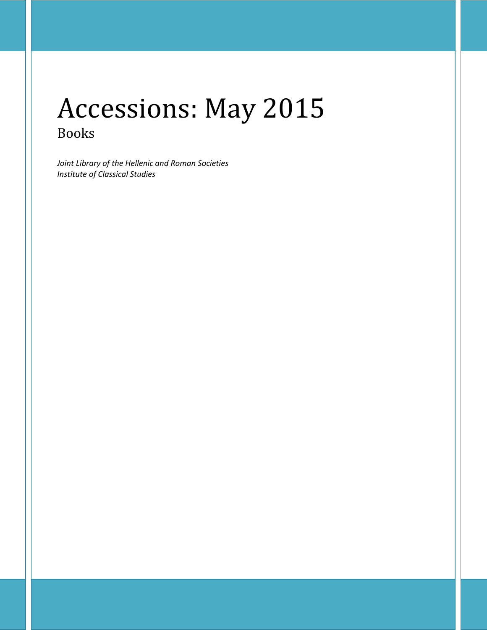# Accessions: May 2015 Books

*Joint Library of the Hellenic and Roman Societies Institute of Classical Studies*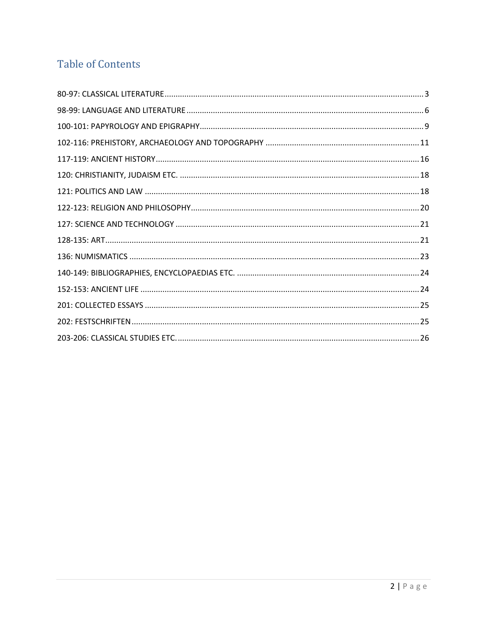## **Table of Contents**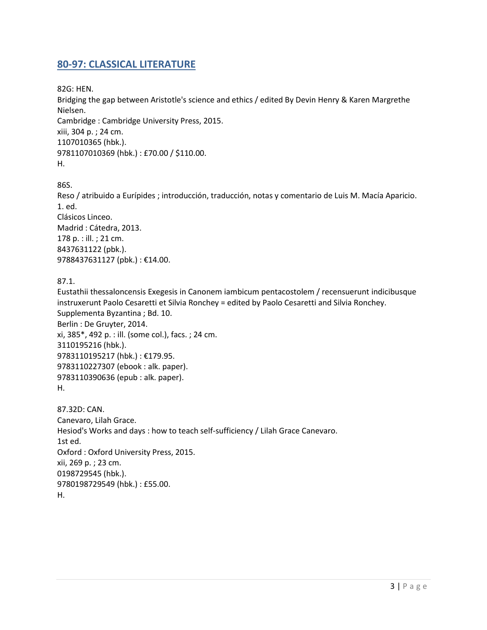#### <span id="page-2-0"></span>**80-97: CLASSICAL LITERATURE**

82G: HEN.

Bridging the gap between Aristotle's science and ethics / edited By Devin Henry & Karen Margrethe Nielsen.

Cambridge : Cambridge University Press, 2015. xiii, 304 p. ; 24 cm. 1107010365 (hbk.). 9781107010369 (hbk.) : £70.00 / \$110.00. H.

86S.

Reso / atribuido a Eurípides ; introducción, traducción, notas y comentario de Luis M. Macía Aparicio. 1. ed. Clásicos Linceo. Madrid : Cátedra, 2013. 178 p. : ill. ; 21 cm. 8437631122 (pbk.). 9788437631127 (pbk.): €14.00.

87.1.

Eustathii thessaloncensis Exegesis in Canonem iambicum pentacostolem / recensuerunt indicibusque instruxerunt Paolo Cesaretti et Silvia Ronchey = edited by Paolo Cesaretti and Silvia Ronchey. Supplementa Byzantina ; Bd. 10. Berlin : De Gruyter, 2014. xi, 385\*, 492 p. : ill. (some col.), facs. ; 24 cm. 3110195216 (hbk.). 9783110195217 (hbk.) : €179.95. 9783110227307 (ebook : alk. paper). 9783110390636 (epub : alk. paper). H. 87.32D: CAN. Canevaro, Lilah Grace.

Hesiod's Works and days : how to teach self-sufficiency / Lilah Grace Canevaro. 1st ed. Oxford : Oxford University Press, 2015. xii, 269 p. ; 23 cm. 0198729545 (hbk.). 9780198729549 (hbk.) : £55.00. H.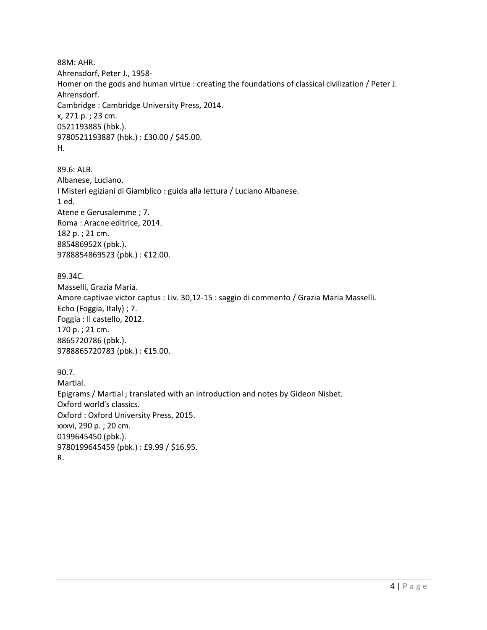88M: AHR. Ahrensdorf, Peter J., 1958- Homer on the gods and human virtue : creating the foundations of classical civilization / Peter J. Ahrensdorf. Cambridge : Cambridge University Press, 2014. x, 271 p. ; 23 cm. 0521193885 (hbk.). 9780521193887 (hbk.) : £30.00 / \$45.00. H.

89.6: ALB. Albanese, Luciano. I Misteri egiziani di Giamblico : guida alla lettura / Luciano Albanese. 1 ed. Atene e Gerusalemme ; 7. Roma : Aracne editrice, 2014. 182 p. ; 21 cm. 885486952X (pbk.). 9788854869523 (pbk.) : €12.00.

89.34C. Masselli, Grazia Maria. Amore captivae victor captus : Liv. 30,12-15 : saggio di commento / Grazia Maria Masselli. Echo (Foggia, Italy) ; 7. Foggia : Il castello, 2012. 170 p. ; 21 cm. 8865720786 (pbk.). 9788865720783 (pbk.) : €15.00.

90.7. Martial. Epigrams / Martial ; translated with an introduction and notes by Gideon Nisbet. Oxford world's classics. Oxford : Oxford University Press, 2015. xxxvi, 290 p. ; 20 cm. 0199645450 (pbk.). 9780199645459 (pbk.) : £9.99 / \$16.95. R.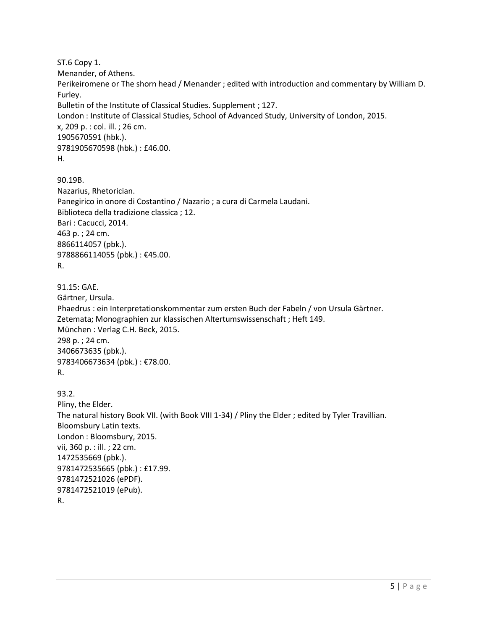ST.6 Copy 1. Menander, of Athens. Perikeiromene or The shorn head / Menander ; edited with introduction and commentary by William D. Furley. Bulletin of the Institute of Classical Studies. Supplement ; 127. London : Institute of Classical Studies, School of Advanced Study, University of London, 2015. x, 209 p. : col. ill. ; 26 cm. 1905670591 (hbk.). 9781905670598 (hbk.) : £46.00. H.

90.19B. Nazarius, Rhetorician. Panegirico in onore di Costantino / Nazario ; a cura di Carmela Laudani. Biblioteca della tradizione classica ; 12. Bari : Cacucci, 2014. 463 p. ; 24 cm. 8866114057 (pbk.). 9788866114055 (pbk.): €45.00. R.

91.15: GAE. Gärtner, Ursula. Phaedrus : ein Interpretationskommentar zum ersten Buch der Fabeln / von Ursula Gärtner. Zetemata; Monographien zur klassischen Altertumswissenschaft ; Heft 149. München : Verlag C.H. Beck, 2015. 298 p. ; 24 cm. 3406673635 (pbk.). 9783406673634 (pbk.) : €78.00. R.

93.2. Pliny, the Elder. The natural history Book VII. (with Book VIII 1-34) / Pliny the Elder ; edited by Tyler Travillian. Bloomsbury Latin texts. London : Bloomsbury, 2015. vii, 360 p. : ill. ; 22 cm. 1472535669 (pbk.). 9781472535665 (pbk.) : £17.99. 9781472521026 (ePDF). 9781472521019 (ePub). R.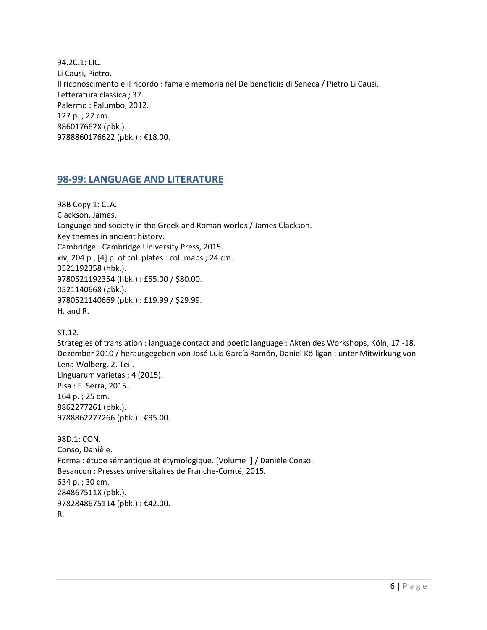94.2C.1: LIC. Li Causi, Pietro. Il riconoscimento e il ricordo : fama e memoria nel De beneficiis di Seneca / Pietro Li Causi. Letteratura classica ; 37. Palermo : Palumbo, 2012. 127 p. ; 22 cm. 886017662X (pbk.). 9788860176622 (pbk.) : €18.00.

## <span id="page-5-0"></span>**98-99: LANGUAGE AND LITERATURE**

98B Copy 1: CLA. Clackson, James. Language and society in the Greek and Roman worlds / James Clackson. Key themes in ancient history. Cambridge : Cambridge University Press, 2015. xiv, 204 p., [4] p. of col. plates : col. maps ; 24 cm. 0521192358 (hbk.). 9780521192354 (hbk.) : £55.00 / \$80.00. 0521140668 (pbk.). 9780521140669 (pbk.) : £19.99 / \$29.99. H. and R.

ST.12.

Strategies of translation : language contact and poetic language : Akten des Workshops, Köln, 17.-18. Dezember 2010 / herausgegeben von José Luis García Ramón, Daniel Kölligan ; unter Mitwirkung von Lena Wolberg. 2. Teil. Linguarum varietas ; 4 (2015). Pisa : F. Serra, 2015. 164 p. ; 25 cm. 8862277261 (pbk.). 9788862277266 (pbk.) : €95.00.

98D.1: CON. Conso, Danièle. Forma : étude sémantique et étymologique. [Volume I] / Danièle Conso. Besançon : Presses universitaires de Franche-Comté, 2015. 634 p. ; 30 cm. 284867511X (pbk.). 9782848675114 (pbk.) : €42.00. R.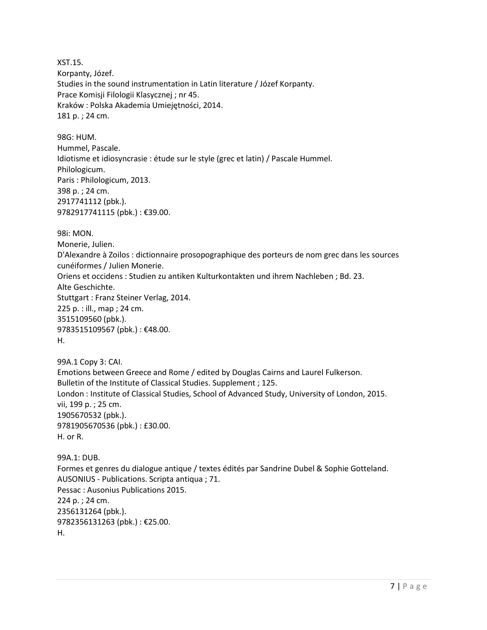XST.15. Korpanty, Józef. Studies in the sound instrumentation in Latin literature / Józef Korpanty. Prace Komisji Filologii Klasycznej ; nr 45. Kraków : Polska Akademia Umiejętności, 2014. 181 p. ; 24 cm.

98G: HUM. Hummel, Pascale. Idiotisme et idiosyncrasie : étude sur le style (grec et latin) / Pascale Hummel. Philologicum. Paris : Philologicum, 2013. 398 p. ; 24 cm. 2917741112 (pbk.). 9782917741115 (pbk.) : €39.00.

98i: MON.

Monerie, Julien. D'Alexandre à Zoilos : dictionnaire prosopographique des porteurs de nom grec dans les sources cunéiformes / Julien Monerie. Oriens et occidens : Studien zu antiken Kulturkontakten und ihrem Nachleben ; Bd. 23. Alte Geschichte. Stuttgart : Franz Steiner Verlag, 2014. 225 p. : ill., map ; 24 cm. 3515109560 (pbk.). 9783515109567 (pbk.): €48.00. H.

99A.1 Copy 3: CAI. Emotions between Greece and Rome / edited by Douglas Cairns and Laurel Fulkerson. Bulletin of the Institute of Classical Studies. Supplement ; 125. London : Institute of Classical Studies, School of Advanced Study, University of London, 2015. vii, 199 p. ; 25 cm. 1905670532 (pbk.). 9781905670536 (pbk.) : £30.00. H. or R.

99A.1: DUB. Formes et genres du dialogue antique / textes édités par Sandrine Dubel & Sophie Gotteland. AUSONIUS - Publications. Scripta antiqua ; 71. Pessac : Ausonius Publications 2015. 224 p. ; 24 cm. 2356131264 (pbk.). 9782356131263 (pbk.) : €25.00. H.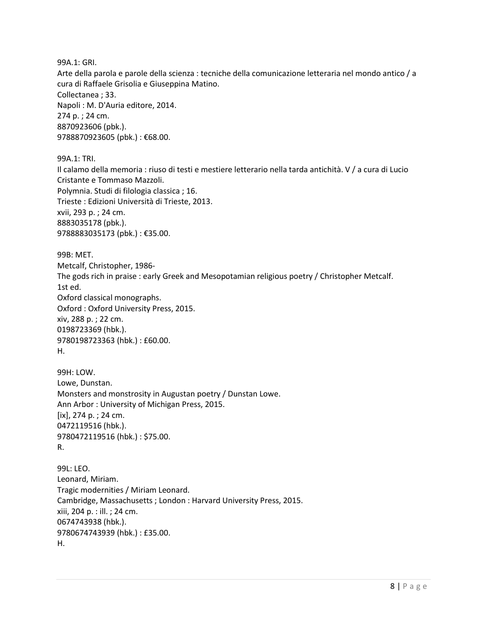99A.1: GRI.

Arte della parola e parole della scienza : tecniche della comunicazione letteraria nel mondo antico / a cura di Raffaele Grisolia e Giuseppina Matino. Collectanea ; 33. Napoli : M. D'Auria editore, 2014. 274 p. ; 24 cm. 8870923606 (pbk.). 9788870923605 (pbk.): €68.00.

99A.1: TRI. Il calamo della memoria : riuso di testi e mestiere letterario nella tarda antichità. V / a cura di Lucio Cristante e Tommaso Mazzoli. Polymnia. Studi di filologia classica ; 16. Trieste : Edizioni Università di Trieste, 2013. xvii, 293 p. ; 24 cm. 8883035178 (pbk.). 9788883035173 (pbk.) : €35.00.

99B: MET. Metcalf, Christopher, 1986- The gods rich in praise : early Greek and Mesopotamian religious poetry / Christopher Metcalf. 1st ed. Oxford classical monographs. Oxford : Oxford University Press, 2015. xiv, 288 p. ; 22 cm. 0198723369 (hbk.). 9780198723363 (hbk.) : £60.00. H.

99H: LOW. Lowe, Dunstan. Monsters and monstrosity in Augustan poetry / Dunstan Lowe. Ann Arbor : University of Michigan Press, 2015. [ix], 274 p. ; 24 cm. 0472119516 (hbk.). 9780472119516 (hbk.) : \$75.00. R.

99L: LEO. Leonard, Miriam. Tragic modernities / Miriam Leonard. Cambridge, Massachusetts ; London : Harvard University Press, 2015. xiii, 204 p. : ill. ; 24 cm. 0674743938 (hbk.). 9780674743939 (hbk.) : £35.00. H.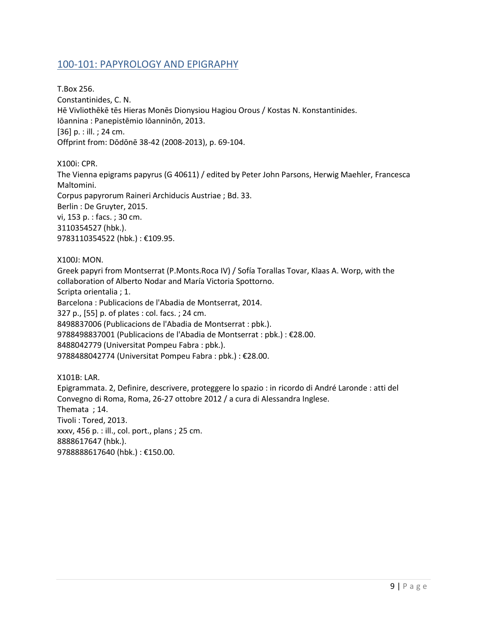#### <span id="page-8-0"></span>100-101: PAPYROLOGY AND EPIGRAPHY

T.Box 256. Constantinides, C. N. Hē Vivliothēkē tēs Hieras Monēs Dionysiou Hagiou Orous / Kostas N. Konstantinides. Iōannina : Panepistēmio Iōanninōn, 2013. [36] p. : ill. ; 24 cm. Offprint from: Dōdōnē 38-42 (2008-2013), p. 69-104.

X100i: CPR.

The Vienna epigrams papyrus (G 40611) / edited by Peter John Parsons, Herwig Maehler, Francesca Maltomini. Corpus papyrorum Raineri Archiducis Austriae ; Bd. 33. Berlin : De Gruyter, 2015. vi, 153 p. : facs. ; 30 cm. 3110354527 (hbk.). 9783110354522 (hbk.) : €109.95.

X100J: MON.

Greek papyri from Montserrat (P.Monts.Roca IV) / Sofía Torallas Tovar, Klaas A. Worp, with the collaboration of Alberto Nodar and María Victoria Spottorno. Scripta orientalia ; 1. Barcelona : Publicacions de l'Abadia de Montserrat, 2014. 327 p., [55] p. of plates : col. facs. ; 24 cm. 8498837006 (Publicacions de l'Abadia de Montserrat : pbk.). 9788498837001 (Publicacions de l'Abadia de Montserrat : pbk.) : €28.00. 8488042779 (Universitat Pompeu Fabra : pbk.). 9788488042774 (Universitat Pompeu Fabra : pbk.) : €28.00.

X101B: LAR. Epigrammata. 2, Definire, descrivere, proteggere lo spazio : in ricordo di André Laronde : atti del Convegno di Roma, Roma, 26-27 ottobre 2012 / a cura di Alessandra Inglese. Themata ; 14. Tivoli : Tored, 2013. xxxv, 456 p. : ill., col. port., plans ; 25 cm. 8888617647 (hbk.). 9788888617640 (hbk.) : €150.00.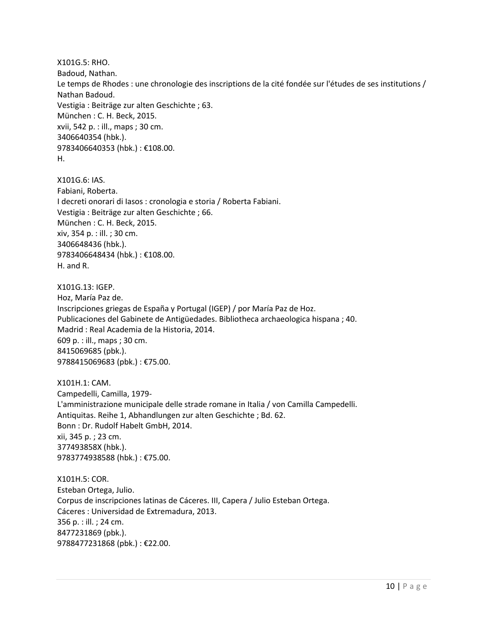X101G.5: RHO. Badoud, Nathan. Le temps de Rhodes : une chronologie des inscriptions de la cité fondée sur l'études de ses institutions / Nathan Badoud. Vestigia : Beiträge zur alten Geschichte ; 63. München : C. H. Beck, 2015. xvii, 542 p. : ill., maps ; 30 cm. 3406640354 (hbk.). 9783406640353 (hbk.) : €108.00. H.

X101G.6: IAS. Fabiani, Roberta. I decreti onorari di Iasos : cronologia e storia / Roberta Fabiani. Vestigia : Beiträge zur alten Geschichte ; 66. München : C. H. Beck, 2015. xiv, 354 p. : ill. ; 30 cm. 3406648436 (hbk.). 9783406648434 (hbk.) : €108.00. H. and R.

X101G.13: IGEP. Hoz, María Paz de. Inscripciones griegas de España y Portugal (IGEP) / por María Paz de Hoz. Publicaciones del Gabinete de Antigüedades. Bibliotheca archaeologica hispana ; 40. Madrid : Real Academia de la Historia, 2014. 609 p. : ill., maps ; 30 cm. 8415069685 (pbk.). 9788415069683 (pbk.) : €75.00.

X101H.1: CAM. Campedelli, Camilla, 1979- L'amministrazione municipale delle strade romane in Italia / von Camilla Campedelli. Antiquitas. Reihe 1, Abhandlungen zur alten Geschichte ; Bd. 62. Bonn : Dr. Rudolf Habelt GmbH, 2014. xii, 345 p. ; 23 cm. 377493858X (hbk.). 9783774938588 (hbk.) : €75.00.

X101H.5: COR. Esteban Ortega, Julio. Corpus de inscripciones latinas de Cáceres. III, Capera / Julio Esteban Ortega. Cáceres : Universidad de Extremadura, 2013. 356 p. : ill. ; 24 cm. 8477231869 (pbk.). 9788477231868 (pbk.) : €22.00.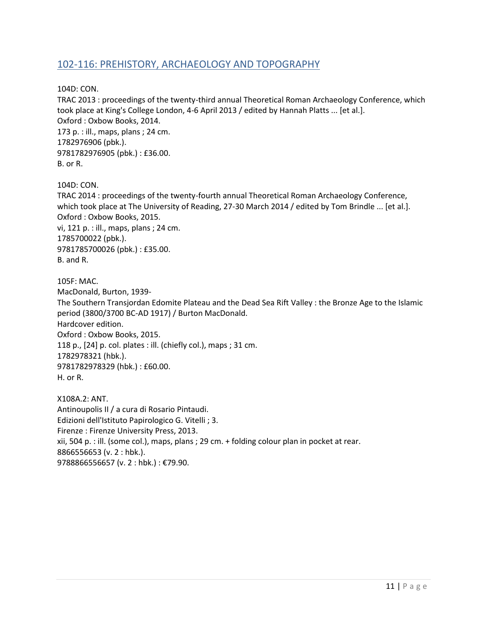#### <span id="page-10-0"></span>102-116: PREHISTORY, ARCHAEOLOGY AND TOPOGRAPHY

104D: CON.

TRAC 2013 : proceedings of the twenty-third annual Theoretical Roman Archaeology Conference, which took place at King's College London, 4-6 April 2013 / edited by Hannah Platts ... [et al.]. Oxford : Oxbow Books, 2014. 173 p. : ill., maps, plans ; 24 cm. 1782976906 (pbk.). 9781782976905 (pbk.) : £36.00. B. or R.

104D: CON.

TRAC 2014 : proceedings of the twenty-fourth annual Theoretical Roman Archaeology Conference, which took place at The University of Reading, 27-30 March 2014 / edited by Tom Brindle ... [et al.]. Oxford : Oxbow Books, 2015. vi, 121 p. : ill., maps, plans ; 24 cm. 1785700022 (pbk.).

9781785700026 (pbk.) : £35.00. B. and R.

105F: MAC. MacDonald, Burton, 1939- The Southern Transjordan Edomite Plateau and the Dead Sea Rift Valley : the Bronze Age to the Islamic period (3800/3700 BC-AD 1917) / Burton MacDonald. Hardcover edition. Oxford : Oxbow Books, 2015. 118 p., [24] p. col. plates : ill. (chiefly col.), maps ; 31 cm. 1782978321 (hbk.). 9781782978329 (hbk.) : £60.00. H. or R.

X108A.2: ANT. Antinoupolis II / a cura di Rosario Pintaudi. Edizioni dell'Istituto Papirologico G. Vitelli ; 3. Firenze : Firenze University Press, 2013. xii, 504 p. : ill. (some col.), maps, plans ; 29 cm. + folding colour plan in pocket at rear. 8866556653 (v. 2 : hbk.). 9788866556657 (v. 2 : hbk.) : €79.90.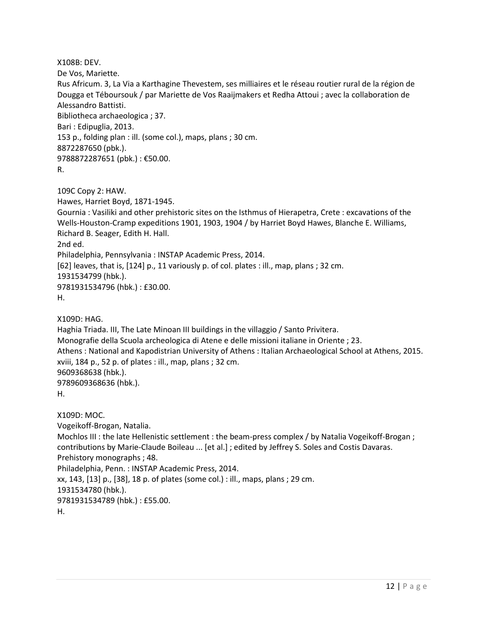X108B: DEV. De Vos, Mariette. Rus Africum. 3, La Via a Karthagine Thevestem, ses milliaires et le réseau routier rural de la région de Dougga et Téboursouk / par Mariette de Vos Raaijmakers et Redha Attoui ; avec la collaboration de Alessandro Battisti. Bibliotheca archaeologica ; 37. Bari : Edipuglia, 2013. 153 p., folding plan : ill. (some col.), maps, plans ; 30 cm. 8872287650 (pbk.). 9788872287651 (pbk.) : €50.00. R. 109C Copy 2: HAW. Hawes, Harriet Boyd, 1871-1945. Gournia : Vasiliki and other prehistoric sites on the Isthmus of Hierapetra, Crete : excavations of the Wells-Houston-Cramp expeditions 1901, 1903, 1904 / by Harriet Boyd Hawes, Blanche E. Williams, Richard B. Seager, Edith H. Hall. 2nd ed. Philadelphia, Pennsylvania : INSTAP Academic Press, 2014. [62] leaves, that is, [124] p., 11 variously p. of col. plates : ill., map, plans ; 32 cm. 1931534799 (hbk.). 9781931534796 (hbk.) : £30.00. H. X109D: HAG. Haghia Triada. III, The Late Minoan III buildings in the villaggio / Santo Privitera. Monografie della Scuola archeologica di Atene e delle missioni italiane in Oriente ; 23. Athens : National and Kapodistrian University of Athens : Italian Archaeological School at Athens, 2015. xviii, 184 p., 52 p. of plates : ill., map, plans ; 32 cm. 9609368638 (hbk.). 9789609368636 (hbk.). H. X109D: MOC. Vogeikoff-Brogan, Natalia. Mochlos III : the late Hellenistic settlement : the beam-press complex / by Natalia Vogeikoff-Brogan ; contributions by Marie-Claude Boileau ... [et al.] ; edited by Jeffrey S. Soles and Costis Davaras. Prehistory monographs ; 48. Philadelphia, Penn. : INSTAP Academic Press, 2014. xx, 143, [13] p., [38], 18 p. of plates (some col.) : ill., maps, plans ; 29 cm. 1931534780 (hbk.). 9781931534789 (hbk.) : £55.00. H.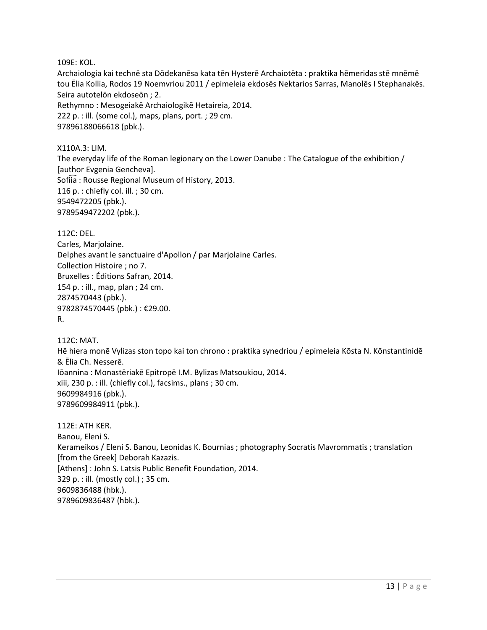109E: KOL.

Archaiologia kai technē sta Dōdekanēsa kata tēn Hysterē Archaiotēta : praktika hēmeridas stē mnēmē tou Ēlia Kollia, Rodos 19 Noemvriou 2011 / epimeleia ekdosēs Nektarios Sarras, Manolēs I Stephanakēs. Seira autotelōn ekdoseōn ; 2. Rethymno : Mesogeiakē Archaiologikē Hetaireia, 2014. 222 p. : ill. (some col.), maps, plans, port. ; 29 cm. 97896188066618 (pbk.).

X110A.3: LIM.

The everyday life of the Roman legionary on the Lower Danube : The Catalogue of the exhibition / [author Evgenia Gencheva]. Sofiia: Rousse Regional Museum of History, 2013. 116 p. : chiefly col. ill. ; 30 cm. 9549472205 (pbk.). 9789549472202 (pbk.).

112C: DEL.

Carles, Marjolaine. Delphes avant le sanctuaire d'Apollon / par Marjolaine Carles. Collection Histoire ; no 7. Bruxelles : Éditions Safran, 2014. 154 p. : ill., map, plan ; 24 cm. 2874570443 (pbk.). 9782874570445 (pbk.) : €29.00. R.

112C: MAT.

Hē hiera monē Vylizas ston topo kai ton chrono : praktika synedriou / epimeleia Kōsta N. Kōnstantinidē & Ēlia Ch. Nesserē. Iōannina : Monastēriakē Epitropē I.M. Bylizas Matsoukiou, 2014.

xiii, 230 p. : ill. (chiefly col.), facsims., plans ; 30 cm. 9609984916 (pbk.). 9789609984911 (pbk.).

112E: ATH KER. Banou, Eleni S. Kerameikos / Eleni S. Banou, Leonidas K. Bournias ; photography Socratis Mavrommatis ; translation [from the Greek] Deborah Kazazis. [Athens] : John S. Latsis Public Benefit Foundation, 2014. 329 p. : ill. (mostly col.) ; 35 cm. 9609836488 (hbk.). 9789609836487 (hbk.).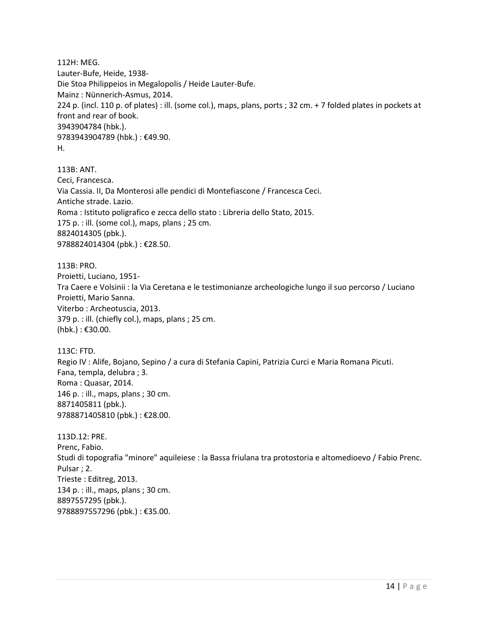112H: MEG. Lauter-Bufe, Heide, 1938- Die Stoa Philippeios in Megalopolis / Heide Lauter-Bufe. Mainz : Nünnerich-Asmus, 2014. 224 p. (incl. 110 p. of plates) : ill. (some col.), maps, plans, ports ; 32 cm. + 7 folded plates in pockets at front and rear of book. 3943904784 (hbk.). 9783943904789 (hbk.) : €49.90. H.

113B: ANT. Ceci, Francesca. Via Cassia. II, Da Monterosi alle pendici di Montefiascone / Francesca Ceci. Antiche strade. Lazio. Roma : Istituto poligrafico e zecca dello stato : Libreria dello Stato, 2015. 175 p. : ill. (some col.), maps, plans ; 25 cm. 8824014305 (pbk.). 9788824014304 (pbk.) : €28.50.

113B: PRO. Proietti, Luciano, 1951- Tra Caere e Volsinii : la Via Ceretana e le testimonianze archeologiche lungo il suo percorso / Luciano Proietti, Mario Sanna. Viterbo : Archeotuscia, 2013. 379 p. : ill. (chiefly col.), maps, plans ; 25 cm. (hbk.) : €30.00.

113C: FTD. Regio IV : Alife, Bojano, Sepino / a cura di Stefania Capini, Patrizia Curci e Maria Romana Picuti. Fana, templa, delubra ; 3. Roma : Quasar, 2014. 146 p. : ill., maps, plans ; 30 cm. 8871405811 (pbk.). 9788871405810 (pbk.) : €28.00.

113D.12: PRE. Prenc, Fabio. Studi di topografia "minore" aquileiese : la Bassa friulana tra protostoria e altomedioevo / Fabio Prenc. Pulsar ; 2. Trieste : Editreg, 2013. 134 p. : ill., maps, plans ; 30 cm. 8897557295 (pbk.). 9788897557296 (pbk.) : €35.00.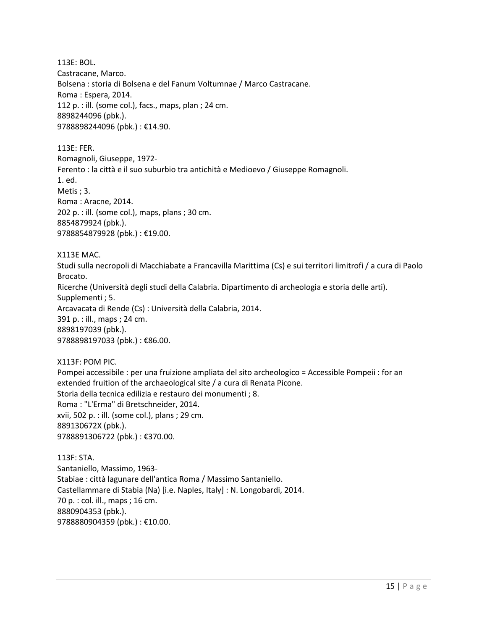113E: BOL. Castracane, Marco. Bolsena : storia di Bolsena e del Fanum Voltumnae / Marco Castracane. Roma : Espera, 2014. 112 p. : ill. (some col.), facs., maps, plan ; 24 cm. 8898244096 (pbk.). 9788898244096 (pbk.) : €14.90.

113E: FER.

Romagnoli, Giuseppe, 1972-

Ferento : la città e il suo suburbio tra antichità e Medioevo / Giuseppe Romagnoli.

1. ed.

Metis ; 3.

Roma : Aracne, 2014.

202 p. : ill. (some col.), maps, plans ; 30 cm. 8854879924 (pbk.).

9788854879928 (pbk.) : €19.00.

X113E MAC.

Studi sulla necropoli di Macchiabate a Francavilla Marittima (Cs) e sui territori limitrofi / a cura di Paolo Brocato.

Ricerche (Università degli studi della Calabria. Dipartimento di archeologia e storia delle arti). Supplementi ; 5.

Arcavacata di Rende (Cs) : Università della Calabria, 2014.

391 p. : ill., maps ; 24 cm.

8898197039 (pbk.).

9788898197033 (pbk.): €86.00.

X113F: POM PIC. Pompei accessibile : per una fruizione ampliata del sito archeologico = Accessible Pompeii : for an extended fruition of the archaeological site / a cura di Renata Picone. Storia della tecnica edilizia e restauro dei monumenti ; 8. Roma : "L'Erma" di Bretschneider, 2014. xvii, 502 p. : ill. (some col.), plans ; 29 cm. 889130672X (pbk.). 9788891306722 (pbk.) : €370.00.

113F: STA. Santaniello, Massimo, 1963- Stabiae : città lagunare dell'antica Roma / Massimo Santaniello. Castellammare di Stabia (Na) [i.e. Naples, Italy] : N. Longobardi, 2014. 70 p. : col. ill., maps ; 16 cm. 8880904353 (pbk.). 9788880904359 (pbk.) : €10.00.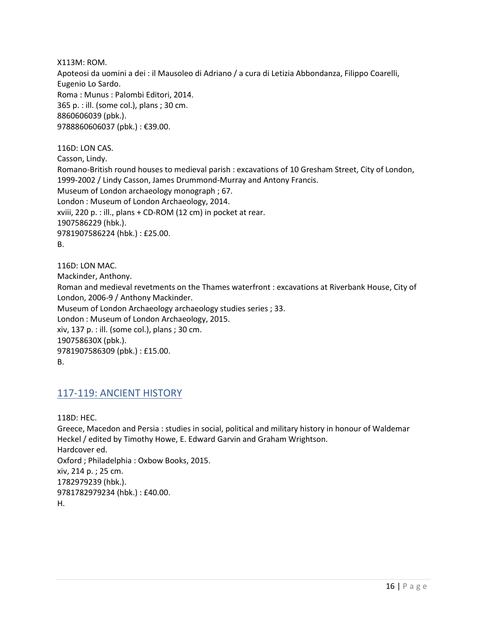X113M: ROM. Apoteosi da uomini a dei : il Mausoleo di Adriano / a cura di Letizia Abbondanza, Filippo Coarelli, Eugenio Lo Sardo. Roma : Munus : Palombi Editori, 2014. 365 p. : ill. (some col.), plans ; 30 cm. 8860606039 (pbk.). 9788860606037 (pbk.) : €39.00.

116D: LON CAS. Casson, Lindy. Romano-British round houses to medieval parish : excavations of 10 Gresham Street, City of London, 1999-2002 / Lindy Casson, James Drummond-Murray and Antony Francis. Museum of London archaeology monograph ; 67. London : Museum of London Archaeology, 2014. xviii, 220 p. : ill., plans + CD-ROM (12 cm) in pocket at rear. 1907586229 (hbk.). 9781907586224 (hbk.) : £25.00. B.

116D: LON MAC. Mackinder, Anthony. Roman and medieval revetments on the Thames waterfront : excavations at Riverbank House, City of London, 2006-9 / Anthony Mackinder. Museum of London Archaeology archaeology studies series ; 33. London : Museum of London Archaeology, 2015. xiv, 137 p. : ill. (some col.), plans ; 30 cm. 190758630X (pbk.). 9781907586309 (pbk.) : £15.00. B.

#### <span id="page-15-0"></span>117-119: ANCIENT HISTORY

118D: HEC. Greece, Macedon and Persia : studies in social, political and military history in honour of Waldemar Heckel / edited by Timothy Howe, E. Edward Garvin and Graham Wrightson. Hardcover ed. Oxford ; Philadelphia : Oxbow Books, 2015. xiv, 214 p. ; 25 cm. 1782979239 (hbk.). 9781782979234 (hbk.) : £40.00. H.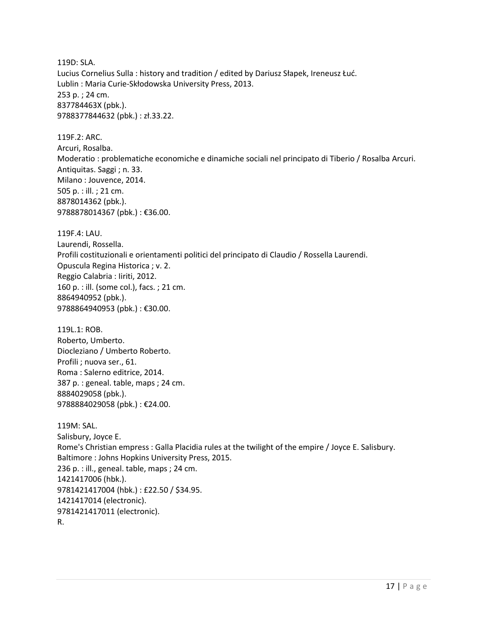119D: SLA. Lucius Cornelius Sulla : history and tradition / edited by Dariusz Słapek, Ireneusz Łuć. Lublin : Maria Curie-Skłodowska University Press, 2013. 253 p. ; 24 cm. 837784463X (pbk.). 9788377844632 (pbk.) : zł.33.22.

119F.2: ARC. Arcuri, Rosalba. Moderatio : problematiche economiche e dinamiche sociali nel principato di Tiberio / Rosalba Arcuri. Antiquitas. Saggi ; n. 33. Milano : Jouvence, 2014. 505 p. : ill. ; 21 cm. 8878014362 (pbk.). 9788878014367 (pbk.) : €36.00.

119F.4: LAU. Laurendi, Rossella. Profili costituzionali e orientamenti politici del principato di Claudio / Rossella Laurendi. Opuscula Regina Historica ; v. 2. Reggio Calabria : Iiriti, 2012.

160 p. : ill. (some col.), facs. ; 21 cm. 8864940952 (pbk.). 9788864940953 (pbk.) : €30.00.

119L.1: ROB. Roberto, Umberto. Diocleziano / Umberto Roberto. Profili ; nuova ser., 61. Roma : Salerno editrice, 2014. 387 p. : geneal. table, maps ; 24 cm. 8884029058 (pbk.). 9788884029058 (pbk.) : €24.00.

```
119M: SAL. 
Salisbury, Joyce E.
Rome's Christian empress : Galla Placidia rules at the twilight of the empire / Joyce E. Salisbury.
Baltimore : Johns Hopkins University Press, 2015.
236 p. : ill., geneal. table, maps ; 24 cm.
1421417006 (hbk.). 
9781421417004 (hbk.) : £22.50 / $34.95. 
1421417014 (electronic). 
9781421417011 (electronic). 
R.
```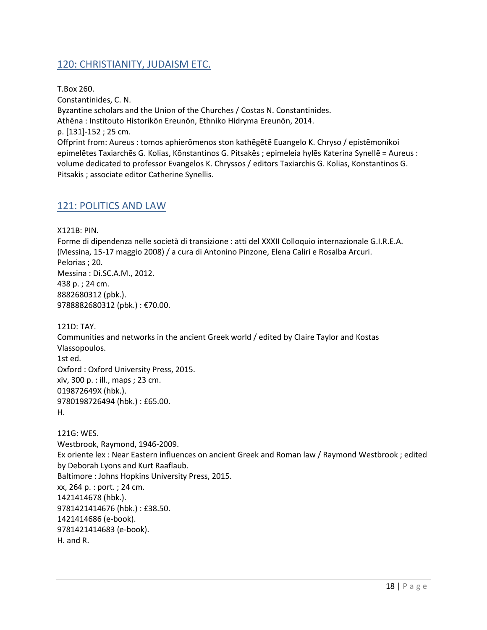## <span id="page-17-0"></span>120: CHRISTIANITY, JUDAISM ETC.

T.Box 260. Constantinides, C. N. Byzantine scholars and the Union of the Churches / Costas N. Constantinides. Athēna : Institouto Historikōn Ereunōn, Ethniko Hidryma Ereunōn, 2014. p. [131]-152 ; 25 cm. Offprint from: Aureus : tomos aphierōmenos ston kathēgētē Euangelo K. Chryso / epistēmonikoi epimelētes Taxiarchēs G. Kolias, Kōnstantinos G. Pitsakēs ; epimeleia hylēs Katerina Synellē = Aureus : volume dedicated to professor Evangelos K. Chryssos / editors Taxiarchis G. Kolias, Konstantinos G. Pitsakis ; associate editor Catherine Synellis.

#### <span id="page-17-1"></span>121: POLITICS AND LAW

X121B: PIN.

Forme di dipendenza nelle società di transizione : atti del XXXII Colloquio internazionale G.I.R.E.A. (Messina, 15-17 maggio 2008) / a cura di Antonino Pinzone, Elena Caliri e Rosalba Arcuri. Pelorias ; 20. Messina : Di.SC.A.M., 2012. 438 p. ; 24 cm. 8882680312 (pbk.). 9788882680312 (pbk.) : €70.00.

121D: TAY. Communities and networks in the ancient Greek world / edited by Claire Taylor and Kostas Vlassopoulos. 1st ed. Oxford : Oxford University Press, 2015. xiv, 300 p. : ill., maps ; 23 cm. 019872649X (hbk.). 9780198726494 (hbk.) : £65.00. H.

121G: WES. Westbrook, Raymond, 1946-2009. Ex oriente lex : Near Eastern influences on ancient Greek and Roman law / Raymond Westbrook ; edited by Deborah Lyons and Kurt Raaflaub. Baltimore : Johns Hopkins University Press, 2015. xx, 264 p. : port. ; 24 cm. 1421414678 (hbk.). 9781421414676 (hbk.) : £38.50. 1421414686 (e-book). 9781421414683 (e-book). H. and R.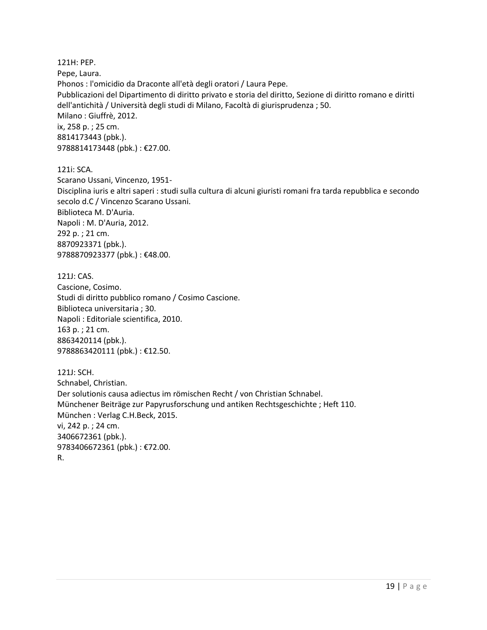121H: PEP. Pepe, Laura. Phonos : l'omicidio da Draconte all'età degli oratori / Laura Pepe. Pubblicazioni del Dipartimento di diritto privato e storia del diritto, Sezione di diritto romano e diritti dell'antichità / Università degli studi di Milano, Facoltà di giurisprudenza ; 50. Milano : Giuffrè, 2012. ix, 258 p. ; 25 cm. 8814173443 (pbk.). 9788814173448 (pbk.) : €27.00.

121i: SCA. Scarano Ussani, Vincenzo, 1951- Disciplina iuris e altri saperi : studi sulla cultura di alcuni giuristi romani fra tarda repubblica e secondo secolo d.C / Vincenzo Scarano Ussani. Biblioteca M. D'Auria. Napoli : M. D'Auria, 2012. 292 p. ; 21 cm. 8870923371 (pbk.). 9788870923377 (pbk.) : €48.00.

121J: CAS. Cascione, Cosimo. Studi di diritto pubblico romano / Cosimo Cascione. Biblioteca universitaria ; 30. Napoli : Editoriale scientifica, 2010. 163 p. ; 21 cm. 8863420114 (pbk.). 9788863420111 (pbk.) : €12.50.

121J: SCH. Schnabel, Christian. Der solutionis causa adiectus im römischen Recht / von Christian Schnabel. Münchener Beiträge zur Papyrusforschung und antiken Rechtsgeschichte ; Heft 110. München : Verlag C.H.Beck, 2015. vi, 242 p. ; 24 cm. 3406672361 (pbk.). 9783406672361 (pbk.) : €72.00. R.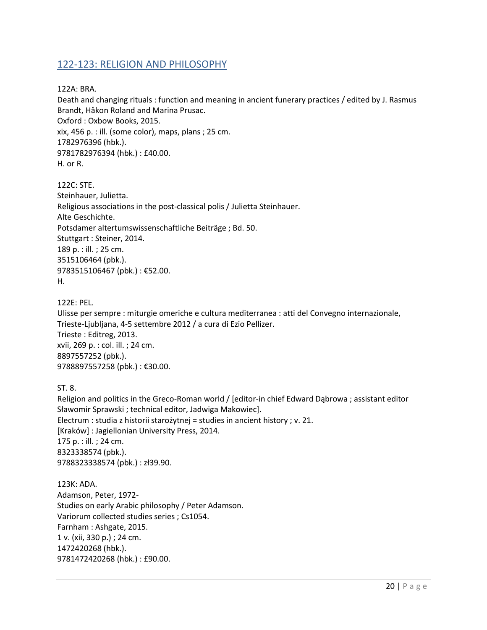#### <span id="page-19-0"></span>122-123: RELIGION AND PHILOSOPHY

122A: BRA.

Death and changing rituals : function and meaning in ancient funerary practices / edited by J. Rasmus Brandt, Håkon Roland and Marina Prusac. Oxford : Oxbow Books, 2015. xix, 456 p. : ill. (some color), maps, plans ; 25 cm. 1782976396 (hbk.). 9781782976394 (hbk.) : £40.00. H. or R.

122C: STE. Steinhauer, Julietta. Religious associations in the post-classical polis / Julietta Steinhauer. Alte Geschichte. Potsdamer altertumswissenschaftliche Beiträge ; Bd. 50. Stuttgart : Steiner, 2014. 189 p. : ill. ; 25 cm. 3515106464 (pbk.). 9783515106467 (pbk.) : €52.00. H.

122E: PEL.

Ulisse per sempre : miturgie omeriche e cultura mediterranea : atti del Convegno internazionale, Trieste-Ljubljana, 4-5 settembre 2012 / a cura di Ezio Pellizer. Trieste : Editreg, 2013. xvii, 269 p. : col. ill. ; 24 cm. 8897557252 (pbk.). 9788897557258 (pbk.) : €30.00.

ST. 8.

Religion and politics in the Greco-Roman world / [editor-in chief Edward Dąbrowa ; assistant editor Sławomir Sprawski ; technical editor, Jadwiga Makowiec]. Electrum : studia z historii starożytnej = studies in ancient history ; v. 21. [Kraków] : Jagiellonian University Press, 2014. 175 p. : ill. ; 24 cm. 8323338574 (pbk.). 9788323338574 (pbk.) : zł39.90.

123K: ADA. Adamson, Peter, 1972- Studies on early Arabic philosophy / Peter Adamson. Variorum collected studies series ; Cs1054. Farnham : Ashgate, 2015. 1 v. (xii, 330 p.) ; 24 cm. 1472420268 (hbk.). 9781472420268 (hbk.) : £90.00.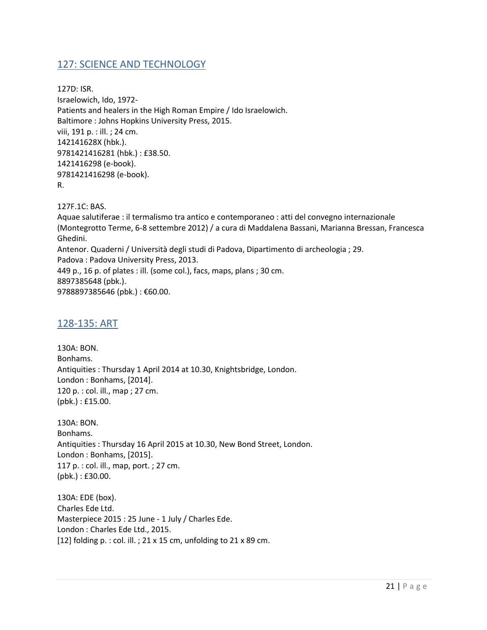#### <span id="page-20-0"></span>127: SCIENCE AND TECHNOLOGY

127D: ISR. Israelowich, Ido, 1972- Patients and healers in the High Roman Empire / Ido Israelowich. Baltimore : Johns Hopkins University Press, 2015. viii, 191 p. : ill. ; 24 cm. 142141628X (hbk.). 9781421416281 (hbk.) : £38.50. 1421416298 (e-book). 9781421416298 (e-book). R.

127F.1C: BAS.

Aquae salutiferae : il termalismo tra antico e contemporaneo : atti del convegno internazionale (Montegrotto Terme, 6-8 settembre 2012) / a cura di Maddalena Bassani, Marianna Bressan, Francesca Ghedini. Antenor. Quaderni / Università degli studi di Padova, Dipartimento di archeologia ; 29. Padova : Padova University Press, 2013. 449 p., 16 p. of plates : ill. (some col.), facs, maps, plans ; 30 cm. 8897385648 (pbk.). 9788897385646 (pbk.): €60.00.

#### <span id="page-20-1"></span>128-135: ART

130A: BON. Bonhams. Antiquities : Thursday 1 April 2014 at 10.30, Knightsbridge, London. London : Bonhams, [2014]. 120 p. : col. ill., map ; 27 cm. (pbk.) : £15.00.

130A: BON. Bonhams. Antiquities : Thursday 16 April 2015 at 10.30, New Bond Street, London. London : Bonhams, [2015]. 117 p. : col. ill., map, port. ; 27 cm. (pbk.) : £30.00.

130A: EDE (box). Charles Ede Ltd. Masterpiece 2015 : 25 June - 1 July / Charles Ede. London : Charles Ede Ltd., 2015. [12] folding p. : col. ill. ; 21 x 15 cm, unfolding to 21 x 89 cm.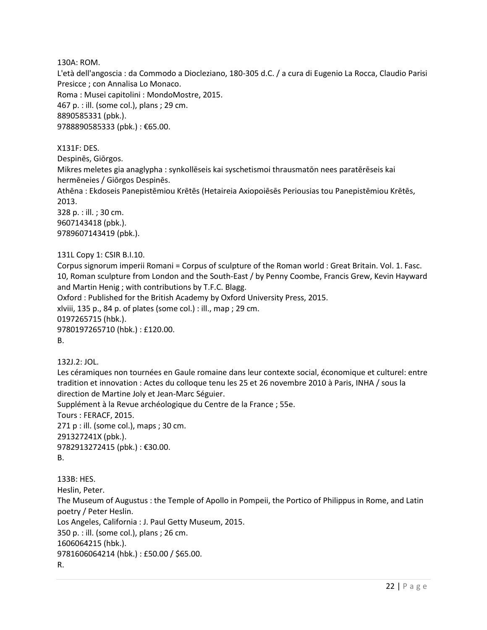130A: ROM.

L'età dell'angoscia : da Commodo a Diocleziano, 180-305 d.C. / a cura di Eugenio La Rocca, Claudio Parisi Presicce ; con Annalisa Lo Monaco. Roma : Musei capitolini : MondoMostre, 2015.

467 p. : ill. (some col.), plans ; 29 cm. 8890585331 (pbk.). 9788890585333 (pbk.) : €65.00.

X131F: DES.

Despinēs, Giōrgos.

Mikres meletes gia anaglypha : synkollēseis kai syschetismoi thrausmatōn nees paratērēseis kai hermēneies / Giōrgos Despinēs.

Athēna : Ekdoseis Panepistēmiou Krētēs (Hetaireia Axiopoiēsēs Periousias tou Panepistēmiou Krētēs, 2013.

328 p. : ill. ; 30 cm. 9607143418 (pbk.). 9789607143419 (pbk.).

131L Copy 1: CSIR B.I.10.

Corpus signorum imperii Romani = Corpus of sculpture of the Roman world : Great Britain. Vol. 1. Fasc. 10, Roman sculpture from London and the South-East / by Penny Coombe, Francis Grew, Kevin Hayward and Martin Henig ; with contributions by T.F.C. Blagg. Oxford : Published for the British Academy by Oxford University Press, 2015. xlviii, 135 p., 84 p. of plates (some col.) : ill., map ; 29 cm. 0197265715 (hbk.). 9780197265710 (hbk.) : £120.00. B.

132J.2: JOL.

Les céramiques non tournées en Gaule romaine dans leur contexte social, économique et culturel: entre tradition et innovation : Actes du colloque tenu les 25 et 26 novembre 2010 à Paris, INHA / sous la direction de Martine Joly et Jean-Marc Séguier.

Supplément à la Revue archéologique du Centre de la France ; 55e.

Tours : FERACF, 2015.

271 p : ill. (some col.), maps ; 30 cm. 291327241X (pbk.). 9782913272415 (pbk.) : €30.00.

B.

133B: HES.

Heslin, Peter.

The Museum of Augustus : the Temple of Apollo in Pompeii, the Portico of Philippus in Rome, and Latin poetry / Peter Heslin.

Los Angeles, California : J. Paul Getty Museum, 2015.

350 p. : ill. (some col.), plans ; 26 cm.

1606064215 (hbk.).

9781606064214 (hbk.) : £50.00 / \$65.00.

R.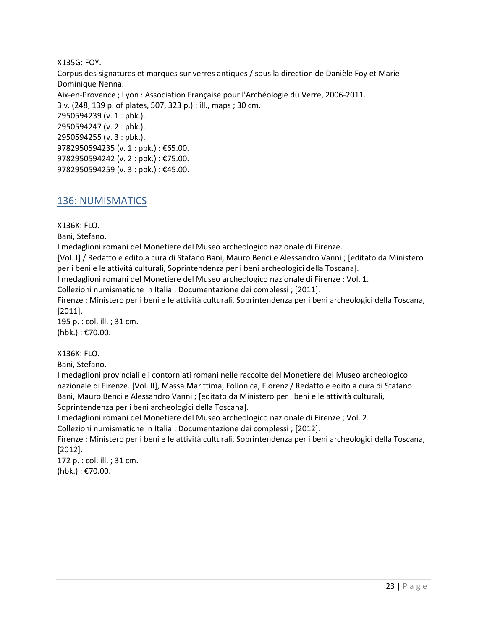#### X135G: FOY.

Corpus des signatures et marques sur verres antiques / sous la direction de Danièle Foy et Marie-Dominique Nenna. Aix-en-Provence ; Lyon : Association Française pour l'Archéologie du Verre, 2006-2011. 3 v. (248, 139 p. of plates, 507, 323 p.) : ill., maps ; 30 cm. 2950594239 (v. 1 : pbk.). 2950594247 (v. 2 : pbk.). 2950594255 (v. 3 : pbk.). 9782950594235 (v. 1 : pbk.) : €65.00. 9782950594242 (v. 2 : pbk.) : €75.00. 9782950594259 (v. 3 : pbk.) : €45.00.

#### <span id="page-22-0"></span>136: NUMISMATICS

#### X136K: FLO.

Bani, Stefano.

I medaglioni romani del Monetiere del Museo archeologico nazionale di Firenze.

[Vol. I] / Redatto e edito a cura di Stafano Bani, Mauro Benci e Alessandro Vanni ; [editato da Ministero per i beni e le attività culturali, Soprintendenza per i beni archeologici della Toscana].

I medaglioni romani del Monetiere del Museo archeologico nazionale di Firenze ; Vol. 1.

Collezioni numismatiche in Italia : Documentazione dei complessi ; [2011].

Firenze : Ministero per i beni e le attività culturali, Soprintendenza per i beni archeologici della Toscana, [2011].

195 p. : col. ill. ; 31 cm. (hbk.) : €70.00.

#### X136K: FLO.

Bani, Stefano.

I medaglioni provinciali e i contorniati romani nelle raccolte del Monetiere del Museo archeologico nazionale di Firenze. [Vol. II], Massa Marittima, Follonica, Florenz / Redatto e edito a cura di Stafano Bani, Mauro Benci e Alessandro Vanni ; [editato da Ministero per i beni e le attività culturali, Soprintendenza per i beni archeologici della Toscana].

I medaglioni romani del Monetiere del Museo archeologico nazionale di Firenze ; Vol. 2.

Collezioni numismatiche in Italia : Documentazione dei complessi ; [2012].

Firenze : Ministero per i beni e le attività culturali, Soprintendenza per i beni archeologici della Toscana, [2012].

172 p. : col. ill. ; 31 cm. (hbk.) : €70.00.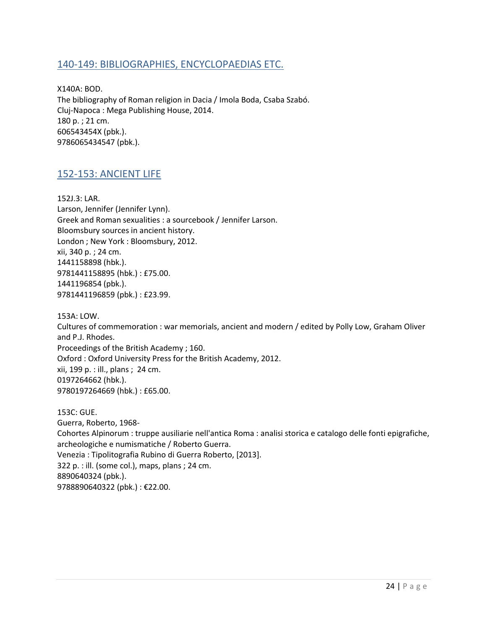#### <span id="page-23-0"></span>140-149: BIBLIOGRAPHIES, ENCYCLOPAEDIAS ETC.

X140A: BOD. The bibliography of Roman religion in Dacia / Imola Boda, Csaba Szabó. Cluj-Napoca : Mega Publishing House, 2014. 180 p. ; 21 cm. 606543454X (pbk.). 9786065434547 (pbk.).

#### <span id="page-23-1"></span>152-153: ANCIENT LIFE

152J.3: LAR. Larson, Jennifer (Jennifer Lynn). Greek and Roman sexualities : a sourcebook / Jennifer Larson. Bloomsbury sources in ancient history. London ; New York : Bloomsbury, 2012. xii, 340 p. ; 24 cm. 1441158898 (hbk.). 9781441158895 (hbk.) : £75.00. 1441196854 (pbk.). 9781441196859 (pbk.) : £23.99.

153A: LOW. Cultures of commemoration : war memorials, ancient and modern / edited by Polly Low, Graham Oliver and P.J. Rhodes. Proceedings of the British Academy ; 160. Oxford : Oxford University Press for the British Academy, 2012. xii, 199 p. : ill., plans ; 24 cm. 0197264662 (hbk.). 9780197264669 (hbk.) : £65.00.

153C: GUE. Guerra, Roberto, 1968- Cohortes Alpinorum : truppe ausiliarie nell'antica Roma : analisi storica e catalogo delle fonti epigrafiche, archeologiche e numismatiche / Roberto Guerra. Venezia : Tipolitografia Rubino di Guerra Roberto, [2013]. 322 p. : ill. (some col.), maps, plans ; 24 cm. 8890640324 (pbk.). 9788890640322 (pbk.) : €22.00.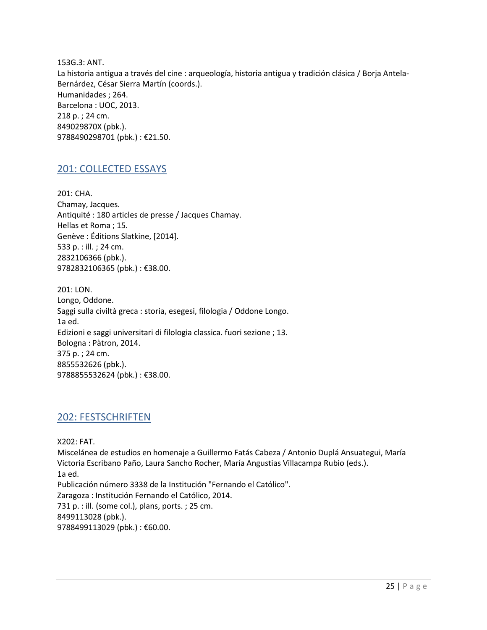153G.3: ANT. La historia antigua a través del cine : arqueología, historia antigua y tradición clásica / Borja Antela-Bernárdez, César Sierra Martín (coords.). Humanidades ; 264. Barcelona : UOC, 2013. 218 p. ; 24 cm. 849029870X (pbk.). 9788490298701 (pbk.) : €21.50.

#### <span id="page-24-0"></span>201: COLLECTED ESSAYS

201: CHA. Chamay, Jacques. Antiquité : 180 articles de presse / Jacques Chamay. Hellas et Roma ; 15. Genève : Éditions Slatkine, [2014]. 533 p. : ill. ; 24 cm. 2832106366 (pbk.). 9782832106365 (pbk.) : €38.00.

201: LON. Longo, Oddone. Saggi sulla civiltà greca : storia, esegesi, filologia / Oddone Longo. 1a ed. Edizioni e saggi universitari di filologia classica. fuori sezione ; 13. Bologna : Pàtron, 2014. 375 p. ; 24 cm. 8855532626 (pbk.). 9788855532624 (pbk.) : €38.00.

#### <span id="page-24-1"></span>202: FESTSCHRIFTEN

X202: FAT. Miscelánea de estudios en homenaje a Guillermo Fatás Cabeza / Antonio Duplá Ansuategui, María Victoria Escribano Paño, Laura Sancho Rocher, María Angustias Villacampa Rubio (eds.). 1a ed. Publicación número 3338 de la Institución "Fernando el Católico". Zaragoza : Institución Fernando el Católico, 2014. 731 p. : ill. (some col.), plans, ports. ; 25 cm. 8499113028 (pbk.). 9788499113029 (pbk.): €60.00.